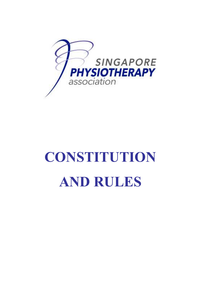

# **CONSTITUTION AND RULES**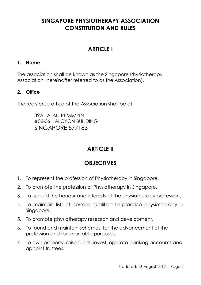# **SINGAPORE PHYSIOTHERAPY ASSOCIATION CONSTITUTION AND RULES**

# **ARTICLE I**

## **1. Name**

The association shall be known as the Singapore Physiotherapy Association (hereinafter referred to as the Association).

## **2. Office**

The registered office of the Association shall be at:

39A JALAN PEMIMPIN #06-06 HALCYON BUILDING SINGAPORE 577183

# **ARTICIE II**

# **OBJECTIVES**

- 1. To represent the profession of Physiotherapy in Singapore.
- 2. To promote the profession of Physiotherapy in Singapore.
- 3. To uphold the honour and interests of the physiotherapy profession.
- 4. To maintain lists of persons qualified to practice physiotherapy in Singapore.
- 5. To promote physiotherapy research and development.
- 6. To found and maintain schemes, for the advancement of the profession and for charitable purposes.
- 7. To own property, raise funds, invest, operate banking accounts and appoint trustees.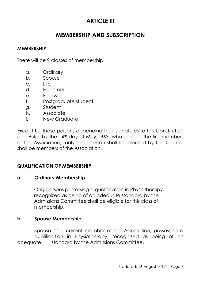# **ARTICLE III**

## **MEMBERSHIP AND SUBSCRIPTION**

#### **MEMBERSHIP**

There will be 9 classes of membership

- a. Ordinary
- b. Spouse
- c. Life
- d. Honorary
- e. Fellow
- f. Postaraduate student
- g. Student
- h. Associate
- i. New Graduate

Except for those persons appending their signatures to this Constitution and Rules by the 14<sup>th</sup> day of May 1963 (who shall be the first members of the Association), only such person shall be elected by the Council shall be members of the Association.

## **QUALIFICATION OF MEMBERSHIP**

#### **a Ordinary Membership**

Only persons possessing a qualification in Physiotherapy, recognized as being of an adequate standard by the Admissions Committee shall be eligible for this class of membership.

#### **b Spouse Membership**

Spouse of a current member of the Association, possessing a qualification in Physiotherapy, recognized as being of an adequate standard by the Admissions Committee.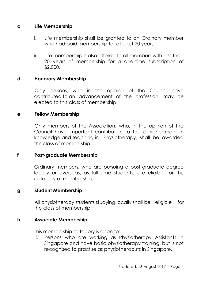#### **c Life Membership**

- i. Life membership shall be granted to an Ordinary member who had paid membership for at least 20 years.
- ii. Life membership is also offered to all members with less than 20 years of membership for a one-time subscription of \$2,000.

#### **d Honorary Membership**

Only persons, who in the opinion of the Council have contributed to an advancement of the profession, may be elected to this class of membership.

#### **e Fellow Membership**

Only members of the Association, who, in the opinion of the Council have important contribution to the advancement in knowledge and teaching in Physiotherapy, shall be awarded this class of membership.

#### **f Post-graduate Membership**

Ordinary members, who are pursuing a post-graduate degree locally or overseas, as full time students, are eligible for this category of membership.

#### **g Student Membership**

All physiotherapy students studying locally shall be eligible for the class of membership.

#### **h. Associate Membership**

This membership category is open to:

i. Persons who are working as Physiotherapy Assistants in Singapore and have basic physiotherapy training, but is not recognised to practise as physiotherapists in Singapore.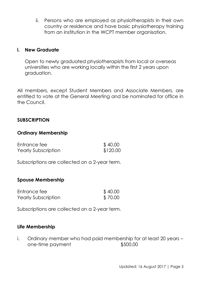ii. Persons who are employed as physiotherapists in their own country or residence and have basic physiotherapy training from an institution in the WCPT member organisation.

#### **i. New Graduate**

Open to newly graduated physiotherapists from local or overseas universities who are working locally within the first 2 years upon graduation.

All members, except Student Members and Associate Members, are entitled to vote at the General Meeting and be nominated for office in the Council.

#### **SUBSCRIPTION**

## **Ordinary Membership**

| Entrance fee        | \$40.00  |
|---------------------|----------|
| Yearly Subscription | \$120.00 |

Subscriptions are collected on a 2-year term.

#### **Spouse Membership**

| Entrance fee               | \$40.00 |
|----------------------------|---------|
| <b>Yearly Subscription</b> | \$70.00 |

Subscriptions are collected on a 2-year term.

## **Life Membership**

i. Ordinary member who had paid membership for at least 20 years – one-time payment \$500.00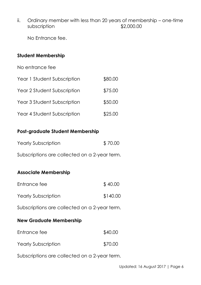ii. Ordinary member with less than 20 years of membership – one-time subscription  $$2,000.00$ 

No Entrance fee.

## **Student Membership**

No entrance fee

| Year 1 Student Subscription | \$80.00 |
|-----------------------------|---------|
| Year 2 Student Subscription | \$75.00 |
| Year 3 Student Subscription | \$50.00 |
| Year 4 Student Subscription | \$25.00 |

## **Post-graduate Student Membership**

| Yearly Subscription | \$70.00 |
|---------------------|---------|
|---------------------|---------|

Subscriptions are collected on a 2-year term.

## **Associate Membership**

| Entrance fee        | \$40.00  |
|---------------------|----------|
| Yearly Subscription | \$140.00 |

Subscriptions are collected on a 2-year term.

## **New Graduate Membership**

| Entrance fee        | \$40.00 |
|---------------------|---------|
| Yearly Subscription | \$70.00 |

Subscriptions are collected on a 2-year term.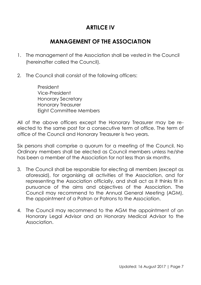# **ARTILCE IV**

## **MANAGEMENT OF THE ASSOCIATION**

- 1. The management of the Association shall be vested in the Council (hereinafter called the Council).
- 2. The Council shall consist of the following officers:

President Vice-President Honorary Secretary Honorary Treasurer Eight Committee Members

All of the above officers except the Honorary Treasurer may be reelected to the same post for a consecutive term of office. The term of office of the Council and Honorary Treasurer is two years.

Six persons shall comprise a quorum for a meeting of the Council. No Ordinary members shall be elected as Council members unless he/she has been a member of the Association for not less than six months.

- 3. The Council shall be responsible for electing all members (except as aforesaid), for organising all activities of the Association, and for representing the Association officially, and shall act as it thinks fit in pursuance of the aims and objectives of the Association. The Council may recommend to the Annual General Meeting (AGM), the appointment of a Patron or Patrons to the Association.
- 4. The Council may recommend to the AGM the appointment of an Honorary Legal Advisor and an Honorary Medical Advisor to the Association.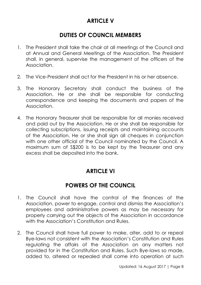# **ARTICLE V**

## **DUTIES OF COUNCIL MEMBERS**

- 1. The President shall take the chair at all meetings of the Council and at Annual and General Meetings of the Association. The President shall, in general, supervise the management of the officers of the Association.
- 2. The Vice-President shall act for the President in his or her absence.
- 3. The Honorary Secretary shall conduct the business of the Association. He or she shall be responsible for conducting correspondence and keeping the documents and papers of the Association.
- 4. The Honorary Treasurer shall be responsible for all monies received and paid out by the Association. He or she shall be responsible for collecting subscriptions, issuing receipts and maintaining accounts of the Association. He or she shall sign all cheques in conjunction with one other official of the Council nominated by the Council. A maximum sum of S\$200 is to be kept by the Treasurer and any excess shall be deposited into the bank.

## **ARTICLE VI**

## **POWERS OF THE COUNCIL**

- 1. The Council shall have the control of the finances of the Association, power to engage, control and dismiss the Association's employees and administrative powers as may be necessary for properly carrying out the objects of the Association in accordance with the Association's Constitution and Rules.
- 2. The Council shall have full power to make, alter, add to or repeal Bye-laws not consistent with the Association's Constitution and Rules regulating the affairs of the Association on any matters not provided for in the Constitution and Rules. Such Bye-laws so made, added to, altered or repealed shall come into operation at such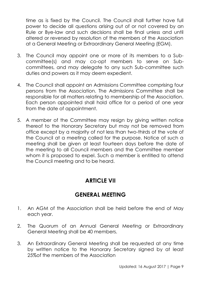time as is fixed by the Council. The Council shall further have full power to decide all questions arising out of or not covered by an Rule or Bye-law and such decisions shall be final unless and until altered or reversed by resolution of the members of the Association at a General Meeting or Extraordinary General Meeting (EGM).

- 3. The Council may appoint one or more of its members to a Subcommittee(s) and may co-opt members to serve on Subcommittees, and may delegate to any such Sub-committee such duties and powers as it may deem expedient.
- 4. The Council shall appoint an Admissions Committee comprising four persons from the Association. The Admissions Committee shall be responsible for all matters relating to membership of the Association. Each person appointed shall hold office for a period of one year from the date of appointment.
- 5. A member of the Committee may resign by giving written notice thereof to the Honorary Secretary but may not be removed from office except by a majority of not less than two-thirds of the vote of the Council at a meeting called for the purpose. Notice of such a meeting shall be given at least fourteen days before the date of the meeting to all Council members and the Committee member whom it is proposed to expel. Such a member is entitled to attend the Council meeting and to be heard.

# **ARTICLE VII**

# **GENERAL MEETING**

- 1. An AGM of the Association shall be held before the end of May each year.
- 2. The Quorum of an Annual General Meeting or Extraordinary General Meeting shall be 40 members.
- 3. An Extraordinary General Meeting shall be requested at any time by written notice to the Honorary Secretary signed by at least 25%of the members of the Association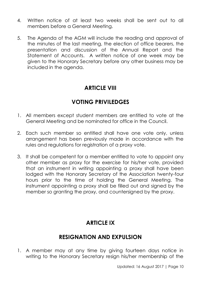- 4. Written notice of at least two weeks shall be sent out to all members before a General Meeting.
- 5. The Agenda of the AGM will include the reading and approval of the minutes of the last meeting, the election of office bearers, the presentation and discussion of the Annual Report and the Statement of Accounts. A written notice of one week may be given to the Honorary Secretary before any other business may be included in the agenda.

## **ARTICLE VIII**

## **VOTING PRIVILEDGES**

- 1. All members except student members are entitled to vote at the General Meeting and be nominated for office in the Council.
- 2. Each such member so entitled shall have one vote only, unless arrangement has been previously made in accordance with the rules and regulations for registration of a proxy vote.
- 3. It shall be competent for a member entitled to vote to appoint any other member as proxy for the exercise for his/her vote, provided that an instrument in writing appointing a proxy shall have been lodged with the Honorary Secretary of the Association twenty-four hours prior to the time of holding the General Meeting. The instrument appointing a proxy shall be filled out and signed by the member so granting the proxy, and countersigned by the proxy.

# **ARTICLE IX**

# **RESIGNATION AND EXPULSION**

1. A member may at any time by giving fourteen days notice in writing to the Honorary Secretary resign his/her membership of the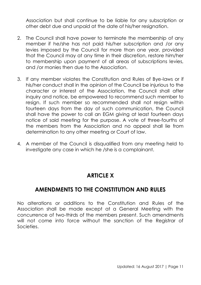Association but shall continue to be liable for any subscription or other debt due and unpaid at the date of his/her resignation.

- 2. The Council shall have power to terminate the membership of any member if he/she has not paid his/her subscription and /or any levies imposed by the Council for more than one year, provided that the Council may at any time in their discretion, restore him/her to membership upon payment of all areas of subscriptions levies, and /or monies then due to the Association.
- 3. If any member violates the Constitution and Rules of Bye-laws or if his/her conduct shall in the opinion of the Council be injurious to the character or interest of the Association, the Council shall after inquiry and notice, be empowered to recommend such member to resign. If such member so recommended shall not resign within fourteen days from the day of such communication, the Council shall have the power to call an EGM giving at least fourteen days notice of said meeting for the purpose. A vote of three-fourths of the members from the Association and no appeal shall lie from determination to any other meeting or Court of law.
- 4. A member of the Council is disqualified from any meeting held to investigate any case in which he /she is a complainant.

## **ARTICLE X**

## **AMENDMENTS TO THE CONSTITUTION AND RULES**

No alterations or additions to the Constitution and Rules of the Association shall be made except at a General Meeting with the concurrence of two-thirds of the members present. Such amendments will not come into force without the sanction of the Registrar of Societies.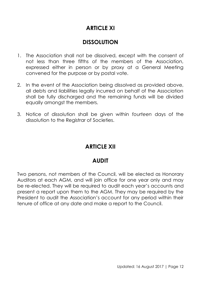# **ARTICLE XI**

## **DISSOLUTION**

- 1. The Association shall not be dissolved, except with the consent of not less than three fifths of the members of the Association, expressed either in person or by proxy at a General Meeting convened for the purpose or by postal vote.
- 2. In the event of the Association being dissolved as provided above, all debts and liabilities legally incurred on behalf of the Association shall be fully discharged and the remaining funds will be divided equally amongst the members.
- 3. Notice of dissolution shall be given within *fourteen* days of the dissolution to the Registrar of Societies.

## **ARTICLE XII**

## **AUDIT**

Two persons, not members of the Council, will be elected as Honorary Auditors at each AGM, and will join office for one year only and may be re-elected. They will be required to audit each year's accounts and present a report upon them to the AGM. They may be required by the President to audit the Association's account for any period within their tenure of office at any date and make a report to the Council.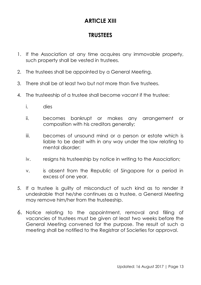# **ARTICLE XIII**

## **TRUSTEES**

- 1. If the Association at any time acquires any immovable property, such property shall be vested in trustees.
- 2. The trustees shall be appointed by a General Meeting.
- 3. There shall be at least two but not more than five trustees.
- 4. The trusteeship of a trustee shall become vacant if the trustee:
	- i. dies
	- ii. becomes bankrupt or makes any arrangement or composition with his creditors generally;
	- iii. becomes of unsound mind or a person or estate which is liable to be dealt with in any way under the law relating to mental disorder;
	- iv. resigns his trusteeship by notice in writing to the Association;
	- v. is absent from the Republic of Singapore for a period in excess of one year.
- 5. If a trustee is guilty of misconduct of such kind as to render it undesirable that he/she continues as a trustee, a General Meeting may remove him/her from the trusteeship.
- 6. Notice relating to the appointment, removal and filling of vacancies of trustees must be given at least two weeks before the General Meeting convened for the purpose. The result of such a meeting shall be notified to the Registrar of Societies for approval.